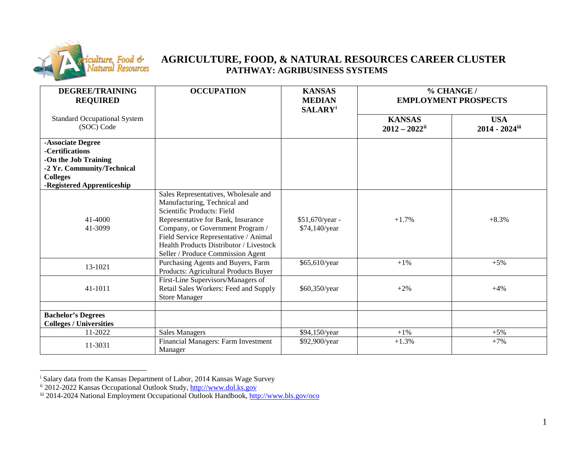

## <span id="page-0-2"></span><span id="page-0-1"></span><span id="page-0-0"></span>**AGRICULTURE, FOOD, & NATURAL RESOURCES CAREER CLUSTER PATHWAY: AGRIBUSINESS SYSTEMS**

| <b>DEGREE/TRAINING</b><br><b>REQUIRED</b>                                                                                                   | <b>OCCUPATION</b>                                                                                                                                                                                                                                                                                            | <b>KANSAS</b><br><b>MEDIAN</b>   | % CHANGE /<br><b>EMPLOYMENT PROSPECTS</b> |                              |
|---------------------------------------------------------------------------------------------------------------------------------------------|--------------------------------------------------------------------------------------------------------------------------------------------------------------------------------------------------------------------------------------------------------------------------------------------------------------|----------------------------------|-------------------------------------------|------------------------------|
| <b>Standard Occupational System</b><br>(SOC) Code                                                                                           |                                                                                                                                                                                                                                                                                                              | <b>SALARY</b> <sup>i</sup>       | <b>KANSAS</b><br>$2012 - 2022$ ii         | <b>USA</b><br>2014 - 2024iii |
| -Associate Degree<br>-Certifications<br>-On the Job Training<br>-2 Yr. Community/Technical<br><b>Colleges</b><br>-Registered Apprenticeship |                                                                                                                                                                                                                                                                                                              |                                  |                                           |                              |
| 41-4000<br>41-3099                                                                                                                          | Sales Representatives, Wholesale and<br>Manufacturing, Technical and<br>Scientific Products: Field<br>Representative for Bank, Insurance<br>Company, or Government Program /<br>Field Service Representative / Animal<br><b>Health Products Distributor / Livestock</b><br>Seller / Produce Commission Agent | \$51,670/year -<br>\$74,140/year | $+1.7%$                                   | $+8.3%$                      |
| 13-1021                                                                                                                                     | Purchasing Agents and Buyers, Farm<br>Products: Agricultural Products Buyer                                                                                                                                                                                                                                  | \$65,610/year                    | $+1\%$                                    | $+5%$                        |
| 41-1011                                                                                                                                     | First-Line Supervisors/Managers of<br>Retail Sales Workers: Feed and Supply<br><b>Store Manager</b>                                                                                                                                                                                                          | \$60,350/year                    | $+2\%$                                    | $+4%$                        |
| <b>Bachelor's Degrees</b><br><b>Colleges / Universities</b>                                                                                 |                                                                                                                                                                                                                                                                                                              |                                  |                                           |                              |
| 11-2022<br>11-3031                                                                                                                          | <b>Sales Managers</b><br>Financial Managers: Farm Investment<br>Manager                                                                                                                                                                                                                                      | \$94,150/year<br>\$92,900/year   | $+1\%$<br>$+1.3%$                         | $+5%$<br>$+7%$               |

i Salary data from the Kansas Department of Labor, 2014 Kansas Wage Survey

ii 2012-2022 Kansas Occupational Outlook Study, [http://www.dol.ks.gov](http://www.dol.ks.gov/)

iii 2014-2024 National Employment Occupational Outlook Handbook[, http://www.bls.gov/oco](http://www.bls.gov/oco)